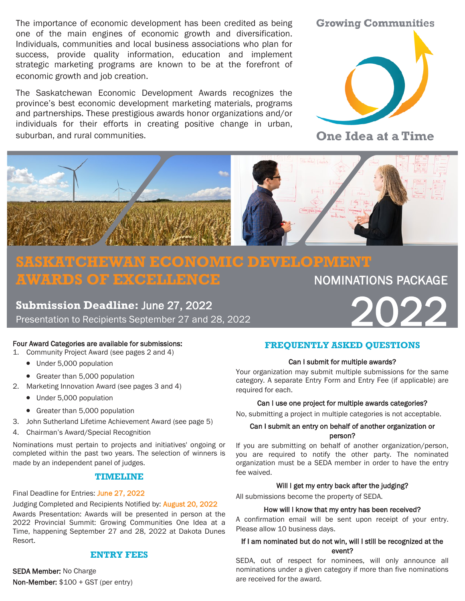The importance of economic development has been credited as being one of the main engines of economic growth and diversification. Individuals, communities and local business associations who plan for success, provide quality information, education and implement strategic marketing programs are known to be at the forefront of economic growth and job creation.

The Saskatchewan Economic Development Awards recognizes the province's best economic development marketing materials, programs and partnerships. These prestigious awards honor organizations and/or individuals for their efforts in creating positive change in urban, suburban, and rural communities.





**One Idea at a Time** 



# **SASKATCHEWAN ECONOMIC DEVELOPMENT AWARDS OF EXCELLENCE NOMINATIONS PACKAGE**

**Submission Deadline:** June 27, 2022 Presentation to Recipients September 27 and 28, 2022

## Four Award Categories are available for submissions:

- 1. Community Project Award (see pages 2 and 4)
	- Under 5,000 population
	- Greater than 5,000 population
- 2. Marketing Innovation Award (see pages 3 and 4)
	- Under 5,000 population
	- Greater than 5,000 population
- 3. John Sutherland Lifetime Achievement Award (see page 5)
- 4. Chairman's Award/Special Recognition

Nominations must pertain to projects and initiatives' ongoing or completed within the past two years. The selection of winners is made by an independent panel of judges.

# **TIMELINE**

Final Deadline for Entries: June 27, 2022

Judging Completed and Recipients Notified by: August 20, 2022

Awards Presentation: Awards will be presented in person at the 2022 Provincial Summit: Growing Communities One Idea at a Time, happening September 27 and 28, 2022 at Dakota Dunes Resort.

# **ENTRY FEES**

SEDA Member: No Charge Non‐Member: \$100 + GST (per entry)

## **FREQUENTLY ASKED QUESTIONS**

### Can I submit for multiple awards?

Your organization may submit multiple submissions for the same category. A separate Entry Form and Entry Fee (if applicable) are required for each.

### Can I use one project for multiple awards categories?

No, submitting a project in multiple categories is not acceptable.

## Can I submit an entry on behalf of another organization or person?

If you are submitting on behalf of another organization/person, you are required to notify the other party. The nominated organization must be a SEDA member in order to have the entry fee waived.

### Will I get my entry back after the judging?

All submissions become the property of SEDA.

### How will I know that my entry has been received?

A confirmation email will be sent upon receipt of your entry. Please allow 10 business days.

# If I am nominated but do not win, will I still be recognized at the event?

SEDA, out of respect for nominees, will only announce all nominations under a given category if more than five nominations are received for the award.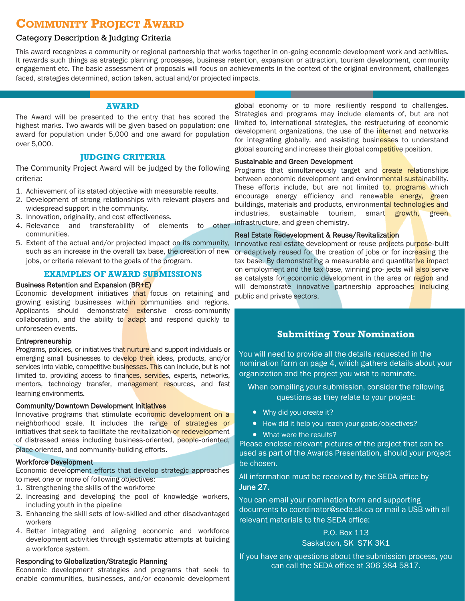# **COMMUNITY PROJECT AWARD**

# Category Description & Judging Criteria

This award recognizes a community or regional partnership that works together in on‐going economic development work and activities. It rewards such things as strategic planning processes, business retention, expansion or attraction, tourism development, community engagement etc. The basic assessment of proposals will focus on achievements in the context of the original environment, challenges faced, strategies determined, action taken, actual and/or projected impacts.

### **AWARD**

The Award will be presented to the entry that has scored the highest marks. Two awards will be given based on population: one award for population under 5,000 and one award for population over 5,000.

## **JUDGING CRITERIA**

The Community Project Award will be judged by the following criteria:

- 1. Achievement of its stated objective with measurable results.
- 2. Development of strong relationships with relevant players and widespread support in the community.
- 3. Innovation, originality, and cost effectiveness.
- 4. Relevance and transferability of elements to other communities.
- 5. Extent of the actual and/or projected impact on its community, such as an increase in the overall tax base, the creation of new jobs, or criteria relevant to the goals of the program.

#### **EXAMPLES OF AWARD SUBMISSIONS**

#### Business Retention and Expansion (BR+E)

Economic development initiatives that focus on retaining and growing existing businesses within communities and regions. Applicants should demonstrate extensive cross-community collaboration, and the ability to adapt and respond quickly to unforeseen events.

#### Entrepreneurship

Programs, policies, or initiatives that nurture and support individuals or emerging small businesses to develop their ideas, products, and/or services into viable, competitive businesses. This can include, but is not limited to, providing access to finances, services, experts, networks, mentors, technology transfer, management resources, and fast learning environments.

### Community/Downtown Development Initiatives

Innovative programs that stimulate economic development on a neighborhood scale. It includes the range of strategies or initiatives that seek to facilitate the revitalization or redevelopment of distressed areas including business‐oriented, people‐oriented, place-oriented, and community‐building efforts.

### Workforce Development

Economic development efforts that develop strategic approaches to meet one or more of following objectives:

- 1. Strengthening the skills of the workforce
- 2. Increasing and developing the pool of knowledge workers, including youth in the pipeline
- 3. Enhancing the skill sets of low‐skilled and other disadvantaged workers
- 4. Better integrating and aligning economic and workforce development activities through systematic attempts at building a workforce system.

### Responding to Globalization/Strategic Planning

Economic development strategies and programs that seek to enable communities, businesses, and/or economic development

global economy or to more resiliently respond to challenges. Strategies and programs may include elements of, but are not limited to, international strategies, the restructuring of economic development organizations, the use of the internet and networks for integrating globally, and assisting businesses to understand global sourcing and increase their global competitive position.

#### Sustainable and Green Development

Programs that simultaneously target and **create relationships** between economic development and environmental sustainability. These efforts include, but are not limited to, programs which encourage energy efficiency and renewable energy, green buildings, materials and products, environmental technologies and industries, sustainable tourism, smart growth, green infrastructure, and green chemistry.

#### Real Estate Redevelopment & Reuse/Revitalization

Innovative real estate development or reuse projects purpose‐built or adaptively reused for the creation of jobs or for increasing the tax base. By demonstrating a measurable and quantitative impact on employment and the tax base, winning pro- jects will also serve as catalysts for economic development in the area or region and will demonstrate innovative partnership approaches including public and private sectors.

# **Submitting Your Nomination**

You will need to provide all the details requested in the nomination form on page 4, which gathers details about your organization and the project you wish to nominate.

When compiling your submission, consider the following questions as they relate to your project:

- Why did you create it?
- How did it help you reach your goals/objectives?
- What were the results?

Please enclose relevant pictures of the project that can be used as part of the Awards Presentation, should your project be chosen.

All information must be received by the SEDA office by June 27.

You can email your nomination form and supporting documents to coordinator@seda.sk.ca or mail a USB with all relevant materials to the SEDA office:

## P.O. Box 113 Saskatoon, SK S7K 3K1

If you have any questions about the submission process, you can call the SEDA office at 306-384-5817.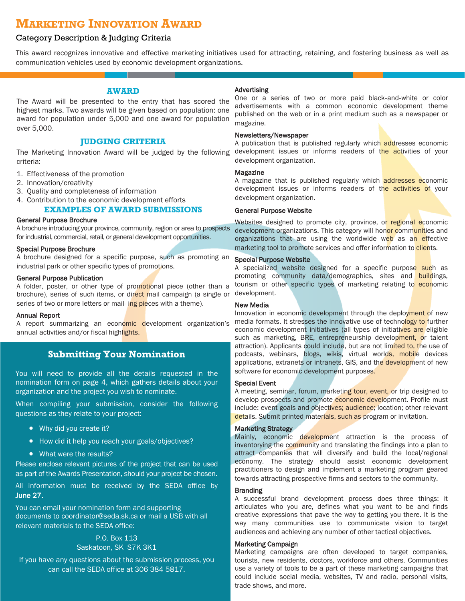# **MARKETING INNOVATION AWARD**

# Category Description & Judging Criteria

This award recognizes innovative and effective marketing initiatives used for attracting, retaining, and fostering business as well as communication vehicles used by economic development organizations.

#### **AWARD**

The Award will be presented to the entry that has scored the highest marks. Two awards will be given based on population: one award for population under 5,000 and one award for population over 5,000.

## **JUDGING CRITERIA**

The Marketing Innovation Award will be judged by the following criteria:

- 1. Effectiveness of the promotion
- 2. Innovation/creativity
- 3. Quality and completeness of information

# 4. Contribution to the economic development efforts

# **EXAMPLES OF AWARD SUBMISSIONS**

### General Purpose Brochure

A brochure introducing your province, community, region or area to prospects for industrial, commercial, retail, or general development opportunities.

#### Special Purpose Brochure

A brochure designed for a specific purpose, such as promoting an industrial park or other specific types of promotions.

#### General Purpose Publication

A folder, poster, or other type of promotional piece (other than a brochure), series of such items, or direct mail campaign (a single or series of two or more letters or mail- ing pieces with a theme).

#### Annual Report

A report summarizing an economic development organization's annual activities and/or fiscal highlights.

# **Submitting Your Nomination**

You will need to provide all the details requested in the nomination form on page 4, which gathers details about your organization and the project you wish to nominate.

When compiling your submission, consider the following questions as they relate to your project:

- Why did you create it?
- How did it help you reach your goals/objectives?
- What were the results?

Please enclose relevant pictures of the project that can be used as part of the Awards Presentation, should your project be chosen.

All information must be received by the SEDA office by June 27.

You can email your nomination form and supporting documents to coordinator@seda.sk.ca or mail a USB with all relevant materials to the SEDA office:

# P.O. Box 113 Saskatoon, SK S7K 3K1

If you have any questions about the submission process, you can call the SEDA office at 306-384-5817.

### Advertising

One or a series of two or more paid black‐and‐white or color advertisements with a common economic development theme published on the web or in a print medium such as a newspaper or magazine.

### Newsletters/Newspaper

A publication that is published regularly which addresses economic development issues or informs readers of the activities of your development organization.

#### Magazine

A magazine that is published regularly which **addresses economic** development issues or informs readers of the activities of your development organization.

#### General Purpose Website

Websites designed to promote city, province, or regional economic development organizations. This category will honor communities and organizations that are using the worldwide web as an effective marketing tool to promote services and offer information to clients.

#### Special Purpose Website

A specialized website designed for a specific purpose such as promoting community data/demographics, sites and buildings, tourism or other specific types of marketing relating to economic development.

### New Media

Innovation in economic development through the deployment of new media formats. It stresses the innovative use of technology to further economic development initiatives (all types of initiatives are eligible such as marketing, BRE, entrepreneurship development, or talent attraction). Applicants could include, but are not limited to, the use of podcasts, webinars, blogs, wikis, virtual worlds, mobile devices applications, extranets or intranets, GIS, and the development of new software for economic development purposes.

#### Special Event

A meeting, seminar, forum, marketing tour, event, or trip designed to develop prospects and promote economic development. Profile must include: event goals and objectives; audience; location; other relevant details. Submit printed materials, such as program or invitation.

#### Marketing Strategy

Mainly, economic development attraction is the process of inventorying the community and translating the findings into a plan to attract companies that will diversify and build the local/regional economy. The strategy should assist economic development practitioners to design and implement a marketing program geared towards attracting prospective firms and sectors to the community.

#### **Branding**

A successful brand development process does three things: it articulates who you are, defines what you want to be and finds creative expressions that pave the way to getting you there. It is the way many communities use to communicate vision to target audiences and achieving any number of other tactical objectives.

#### Marketing Campaign

Marketing campaigns are often developed to target companies, tourists, new residents, doctors, workforce and others. Communities use a variety of tools to be a part of these marketing campaigns that could include social media, websites, TV and radio, personal visits, trade shows, and more.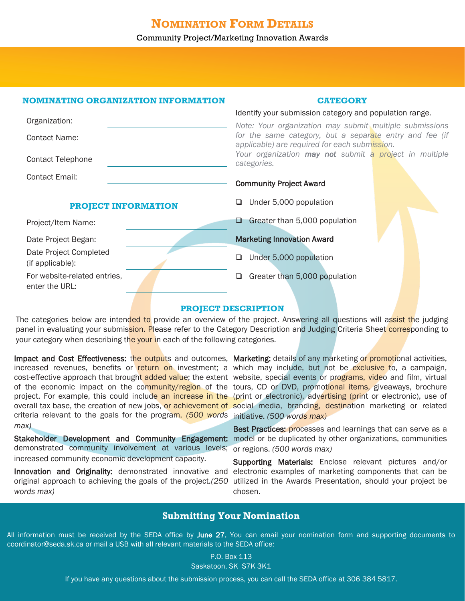# **NOMINATION FORM DETAILS**

## Community Project/Marketing Innovation Awards

# **NOMINATING ORGANIZATION INFORMATION**

## **CATEGORY**

Identify your submission category and population range.

| Organization:                                  | Note: Your organization may submit multiple submissions                                                  |
|------------------------------------------------|----------------------------------------------------------------------------------------------------------|
| <b>Contact Name:</b>                           | for the same category, but a separate entry and fee (if<br>applicable) are required for each submission. |
| <b>Contact Telephone</b>                       | Your organization may not submit a project in multiple<br>categories.                                    |
| <b>Contact Email:</b>                          | <b>Community Project Award</b>                                                                           |
| <b>PROJECT INFORMATION</b>                     | Under 5,000 population<br>ப                                                                              |
| Project/Item Name:                             | Greater than 5,000 population                                                                            |
| Date Project Began:                            | <b>Marketing Innovation Award</b>                                                                        |
| Date Project Completed<br>(if applicable):     | Under 5,000 population<br>□                                                                              |
| For website-related entries,<br>enter the URL: | Greater than 5,000 population<br>⊔                                                                       |

### **PROJECT DESCRIPTION**

The categories below are intended to provide an overview of the project. Answering all questions will assist the judging panel in evaluating your submission. Please refer to the Category Description and Judging Criteria Sheet corresponding to vour category when describing the your in each of the following categories.

criteria relevant to the goals for the program. *(500 words*  initiative. *(500 words max) max)*

demonstrated community involvement at various levels; increased community economic development capacity.

*words max)*

Impact and Cost Effectiveness: the outputs and outcomes, Marketing: details of any marketing or promotional activities, increased revenues, benefits or return on investment; a which may include, but not be exclusive to, a campaign, cost-effective approach that brought added value; the extent website, special events or programs, video and film, virtual of the economic impact on the community/region of the tours, CD or DVD, promotional items, giveaways, brochure project. For example, this could include an increase in the (print or electronic), advertising (print or electronic), use of overall tax base, the creation of new jobs, or achievement of social media, branding, destination marketing or related

Stakeholder Development and Community Engagement: model or be duplicated by other organizations, communities Best Practices: processes and learnings that can serve as a or regions. *(500 words max)*

Innovation and Originality: demonstrated innovative and electronic examples of marketing components that can be original approach to achieving the goals of the project.*(250*  utilized in the Awards Presentation, should your project be Supporting Materials: Enclose relevant pictures and/or chosen.

# **Submitting Your Nomination**

All information must be received by the SEDA office by June 27. You can email your nomination form and supporting documents to coordinator@seda.sk.ca or mail a USB with all relevant materials to the SEDA office:

> P.O. Box 113 Saskatoon, SK S7K 3K1

If you have any questions about the submission process, you can call the SEDA office at 306-384-5817.